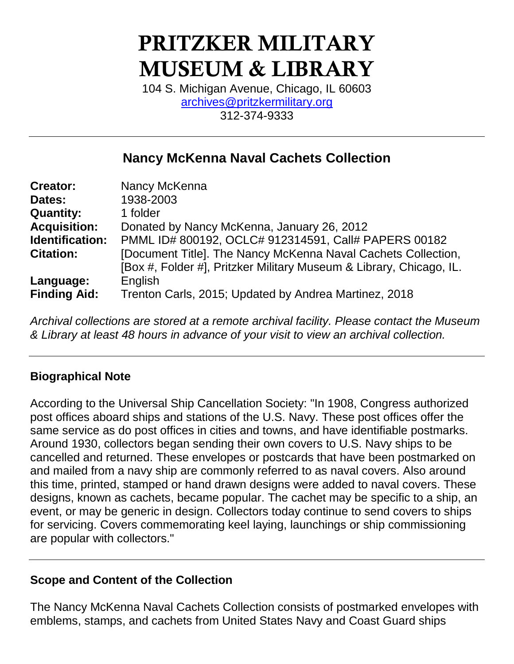# PRITZKER MILITARY MUSEUM & LIBRARY

104 S. Michigan Avenue, Chicago, IL 60603 [archives@pritzkermilitary.org](mailto:archives@pritzkermilitary.org) 312-374-9333

# **Nancy McKenna Naval Cachets Collection**

| <b>Creator:</b>     | Nancy McKenna                                                       |
|---------------------|---------------------------------------------------------------------|
| Dates:              | 1938-2003                                                           |
| <b>Quantity:</b>    | 1 folder                                                            |
| <b>Acquisition:</b> | Donated by Nancy McKenna, January 26, 2012                          |
| Identification:     | PMML ID# 800192, OCLC# 912314591, Call# PAPERS 00182                |
| <b>Citation:</b>    | [Document Title]. The Nancy McKenna Naval Cachets Collection,       |
|                     | [Box #, Folder #], Pritzker Military Museum & Library, Chicago, IL. |
| Language:           | English                                                             |
| <b>Finding Aid:</b> | Trenton Carls, 2015; Updated by Andrea Martinez, 2018               |

*Archival collections are stored at a remote archival facility. Please contact the Museum & Library at least 48 hours in advance of your visit to view an archival collection.*

## **Biographical Note**

According to the Universal Ship Cancellation Society: "In 1908, Congress authorized post offices aboard ships and stations of the U.S. Navy. These post offices offer the same service as do post offices in cities and towns, and have identifiable postmarks. Around 1930, collectors began sending their own covers to U.S. Navy ships to be cancelled and returned. These envelopes or postcards that have been postmarked on and mailed from a navy ship are commonly referred to as naval covers. Also around this time, printed, stamped or hand drawn designs were added to naval covers. These designs, known as cachets, became popular. The cachet may be specific to a ship, an event, or may be generic in design. Collectors today continue to send covers to ships for servicing. Covers commemorating keel laying, launchings or ship commissioning are popular with collectors."

## **Scope and Content of the Collection**

The Nancy McKenna Naval Cachets Collection consists of postmarked envelopes with emblems, stamps, and cachets from United States Navy and Coast Guard ships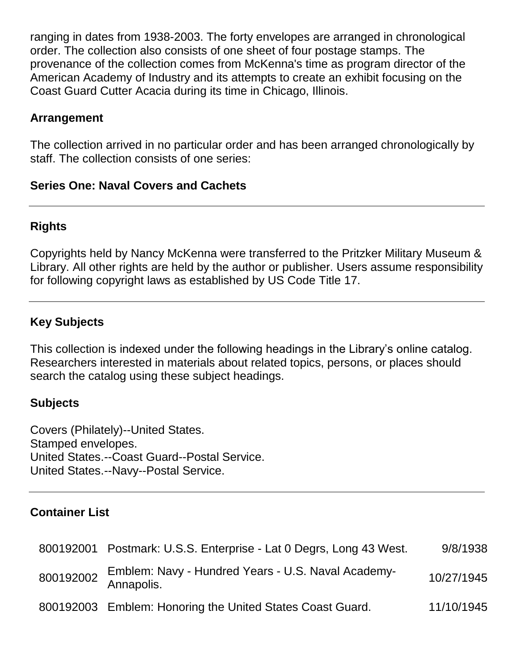ranging in dates from 1938-2003. The forty envelopes are arranged in chronological order. The collection also consists of one sheet of four postage stamps. The provenance of the collection comes from McKenna's time as program director of the American Academy of Industry and its attempts to create an exhibit focusing on the Coast Guard Cutter Acacia during its time in Chicago, Illinois.

#### **Arrangement**

The collection arrived in no particular order and has been arranged chronologically by staff. The collection consists of one series:

#### **Series One: Naval Covers and Cachets**

#### **Rights**

Copyrights held by Nancy McKenna were transferred to the Pritzker Military Museum & Library. All other rights are held by the author or publisher. Users assume responsibility for following copyright laws as established by US Code Title 17.

#### **Key Subjects**

This collection is indexed under the following headings in the Library's online catalog. Researchers interested in materials about related topics, persons, or places should search the catalog using these subject headings.

#### **Subjects**

Covers (Philately)--United States. Stamped envelopes. United States.--Coast Guard--Postal Service. United States.--Navy--Postal Service.

#### **Container List**

| 800192001 Postmark: U.S.S. Enterprise - Lat 0 Degrs, Long 43 West.                           | 9/8/1938   |
|----------------------------------------------------------------------------------------------|------------|
| Emblem: Navy - Hundred Years - U.S. Naval Academy-<br>800192002 <b>EUROPER</b><br>Annapolis. | 10/27/1945 |
| 800192003 Emblem: Honoring the United States Coast Guard.                                    | 11/10/1945 |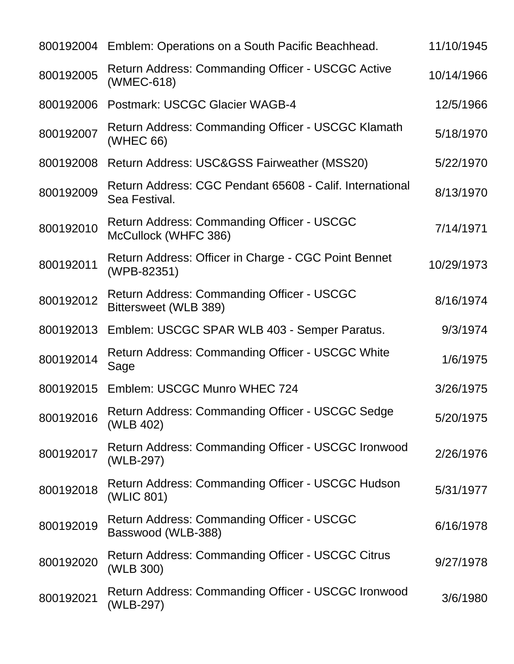|           | 800192004 Emblem: Operations on a South Pacific Beachhead.                | 11/10/1945 |
|-----------|---------------------------------------------------------------------------|------------|
| 800192005 | <b>Return Address: Commanding Officer - USCGC Active</b><br>(WMEC-618)    | 10/14/1966 |
| 800192006 | <b>Postmark: USCGC Glacier WAGB-4</b>                                     | 12/5/1966  |
| 800192007 | Return Address: Commanding Officer - USCGC Klamath<br>(WHEC 66)           | 5/18/1970  |
| 800192008 | Return Address: USC&GSS Fairweather (MSS20)                               | 5/22/1970  |
| 800192009 | Return Address: CGC Pendant 65608 - Calif. International<br>Sea Festival. | 8/13/1970  |
| 800192010 | Return Address: Commanding Officer - USCGC<br>McCullock (WHFC 386)        | 7/14/1971  |
| 800192011 | Return Address: Officer in Charge - CGC Point Bennet<br>(WPB-82351)       | 10/29/1973 |
| 800192012 | Return Address: Commanding Officer - USCGC<br>Bittersweet (WLB 389)       | 8/16/1974  |
| 800192013 | Emblem: USCGC SPAR WLB 403 - Semper Paratus.                              | 9/3/1974   |
| 800192014 | <b>Return Address: Commanding Officer - USCGC White</b><br>Sage           | 1/6/1975   |
|           | 800192015 Emblem: USCGC Munro WHEC 724                                    | 3/26/1975  |
| 800192016 | <b>Return Address: Commanding Officer - USCGC Sedge</b><br>(WLB 402)      | 5/20/1975  |
| 800192017 | Return Address: Commanding Officer - USCGC Ironwood<br>(WLB-297)          | 2/26/1976  |
| 800192018 | Return Address: Commanding Officer - USCGC Hudson<br>(WLIC 801)           | 5/31/1977  |
| 800192019 | Return Address: Commanding Officer - USCGC<br>Basswood (WLB-388)          | 6/16/1978  |
| 800192020 | <b>Return Address: Commanding Officer - USCGC Citrus</b><br>(WLB 300)     | 9/27/1978  |
| 800192021 | Return Address: Commanding Officer - USCGC Ironwood<br>(WLB-297)          | 3/6/1980   |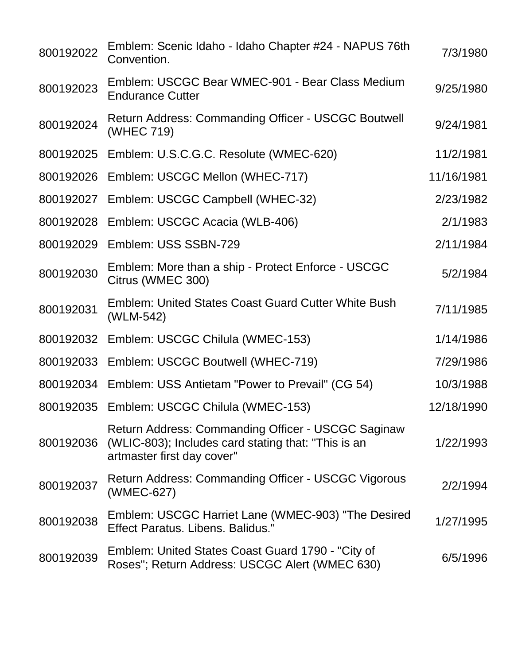| 800192022 | Emblem: Scenic Idaho - Idaho Chapter #24 - NAPUS 76th<br>Convention.                                                                    | 7/3/1980   |
|-----------|-----------------------------------------------------------------------------------------------------------------------------------------|------------|
| 800192023 | Emblem: USCGC Bear WMEC-901 - Bear Class Medium<br><b>Endurance Cutter</b>                                                              | 9/25/1980  |
| 800192024 | <b>Return Address: Commanding Officer - USCGC Boutwell</b><br>(WHEC 719)                                                                | 9/24/1981  |
|           | 800192025 Emblem: U.S.C.G.C. Resolute (WMEC-620)                                                                                        | 11/2/1981  |
| 800192026 | Emblem: USCGC Mellon (WHEC-717)                                                                                                         | 11/16/1981 |
| 800192027 | Emblem: USCGC Campbell (WHEC-32)                                                                                                        | 2/23/1982  |
| 800192028 | Emblem: USCGC Acacia (WLB-406)                                                                                                          | 2/1/1983   |
| 800192029 | Emblem: USS SSBN-729                                                                                                                    | 2/11/1984  |
| 800192030 | Emblem: More than a ship - Protect Enforce - USCGC<br>Citrus (WMEC 300)                                                                 | 5/2/1984   |
| 800192031 | <b>Emblem: United States Coast Guard Cutter White Bush</b><br>(WLM-542)                                                                 | 7/11/1985  |
|           | 800192032 Emblem: USCGC Chilula (WMEC-153)                                                                                              | 1/14/1986  |
| 800192033 | Emblem: USCGC Boutwell (WHEC-719)                                                                                                       | 7/29/1986  |
| 800192034 | Emblem: USS Antietam "Power to Prevail" (CG 54)                                                                                         | 10/3/1988  |
| 800192035 | Emblem: USCGC Chilula (WMEC-153)                                                                                                        | 12/18/1990 |
| 800192036 | Return Address: Commanding Officer - USCGC Saginaw<br>(WLIC-803); Includes card stating that: "This is an<br>artmaster first day cover" | 1/22/1993  |
| 800192037 | <b>Return Address: Commanding Officer - USCGC Vigorous</b><br>(WMEC-627)                                                                | 2/2/1994   |
| 800192038 | Emblem: USCGC Harriet Lane (WMEC-903) "The Desired<br>Effect Paratus, Libens, Balidus."                                                 | 1/27/1995  |
| 800192039 | Emblem: United States Coast Guard 1790 - "City of<br>Roses"; Return Address: USCGC Alert (WMEC 630)                                     | 6/5/1996   |